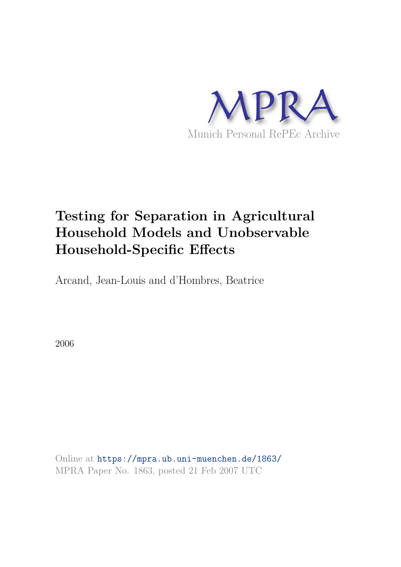

# **Testing for Separation in Agricultural Household Models and Unobservable Household-Specific Effects**

Arcand, Jean-Louis and d'Hombres, Beatrice

2006

Online at https://mpra.ub.uni-muenchen.de/1863/ MPRA Paper No. 1863, posted 21 Feb 2007 UTC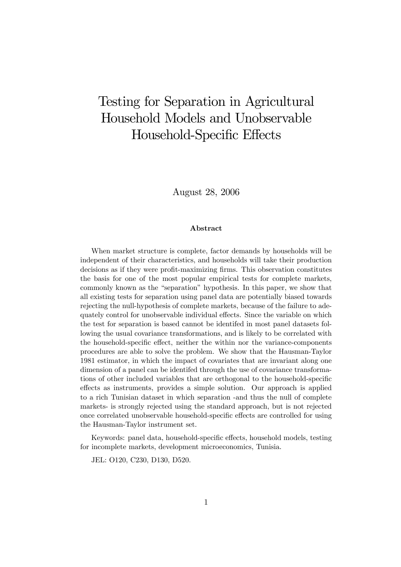## Testing for Separation in Agricultural Household Models and Unobservable Household-Specific Effects

August 28, 2006

#### Abstract

When market structure is complete, factor demands by households will be independent of their characteristics, and households will take their production decisions as if they were profit-maximizing firms. This observation constitutes the basis for one of the most popular empirical tests for complete markets, commonly known as the "separation" hypothesis. In this paper, we show that all existing tests for separation using panel data are potentially biased towards rejecting the null-hypothesis of complete markets, because of the failure to adequately control for unobservable individual effects. Since the variable on which the test for separation is based cannot be identifed in most panel datasets following the usual covariance transformations, and is likely to be correlated with the household-specific effect, neither the within nor the variance-components procedures are able to solve the problem. We show that the Hausman-Taylor 1981 estimator, in which the impact of covariates that are invariant along one dimension of a panel can be identifed through the use of covariance transformations of other included variables that are orthogonal to the household-specific effects as instruments, provides a simple solution. Our approach is applied to a rich Tunisian dataset in which separation -and thus the null of complete markets- is strongly rejected using the standard approach, but is not rejected once correlated unobservable household-specific effects are controlled for using the Hausman-Taylor instrument set.

Keywords: panel data, household-specific effects, household models, testing for incomplete markets, development microeconomics, Tunisia.

JEL: O120, C230, D130, D520.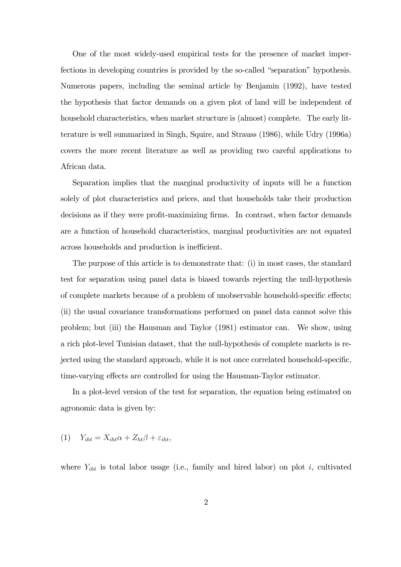One of the most widely-used empirical tests for the presence of market imperfections in developing countries is provided by the so-called "separation" hypothesis. Numerous papers, including the seminal article by Benjamin (1992), have tested the hypothesis that factor demands on a given plot of land will be independent of household characteristics, when market structure is (almost) complete. The early litterature is well summarized in Singh, Squire, and Strauss (1986), while Udry (1996a) covers the more recent literature as well as providing two careful applications to African data.

Separation implies that the marginal productivity of inputs will be a function solely of plot characteristics and prices, and that households take their production decisions as if they were profit-maximizing firms. In contrast, when factor demands are a function of household characteristics, marginal productivities are not equated across households and production is inefficient.

The purpose of this article is to demonstrate that: (i) in most cases, the standard test for separation using panel data is biased towards rejecting the null-hypothesis of complete markets because of a problem of unobservable household-specific effects; (ii) the usual covariance transformations performed on panel data cannot solve this problem; but (iii) the Hausman and Taylor (1981) estimator can. We show, using a rich plot-level Tunisian dataset, that the null-hypothesis of complete markets is rejected using the standard approach, while it is not once correlated household-specific, time-varying effects are controlled for using the Hausman-Taylor estimator.

In a plot-level version of the test for separation, the equation being estimated on agronomic data is given by:

$$
(1) \tYiht = Xiht \alpha + Zht \beta + \varepsiloniht,
$$

where  $Y_{iht}$  is total labor usage (i.e., family and hired labor) on plot i, cultivated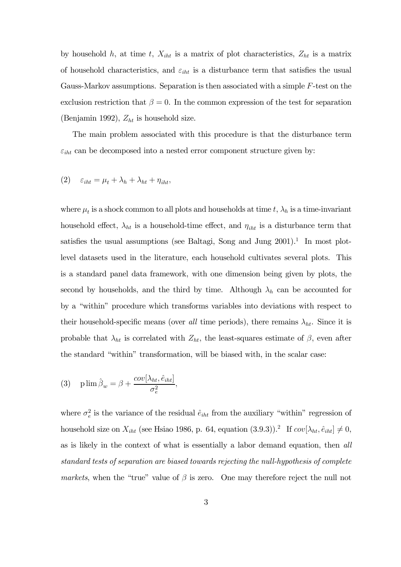by household h, at time t,  $X_{iht}$  is a matrix of plot characteristics,  $Z_{ht}$  is a matrix of household characteristics, and  $\varepsilon_{iht}$  is a disturbance term that satisfies the usual Gauss-Markov assumptions. Separation is then associated with a simple F-test on the exclusion restriction that  $\beta = 0$ . In the common expression of the test for separation (Benjamin 1992),  $Z_{ht}$  is household size.

The main problem associated with this procedure is that the disturbance term  $\varepsilon_{iht}$  can be decomposed into a nested error component structure given by:

$$
(2) \quad \varepsilon_{iht} = \mu_t + \lambda_h + \lambda_{ht} + \eta_{iht},
$$

where  $\mu_t$  is a shock common to all plots and households at time t,  $\lambda_h$  is a time-invariant household effect,  $\lambda_{ht}$  is a household-time effect, and  $\eta_{iht}$  is a disturbance term that satisfies the usual assumptions (see Baltagi, Song and Jung  $2001$ ).<sup>1</sup> In most plotlevel datasets used in the literature, each household cultivates several plots. This is a standard panel data framework, with one dimension being given by plots, the second by households, and the third by time. Although  $\lambda_h$  can be accounted for by a "within" procedure which transforms variables into deviations with respect to their household-specific means (over all time periods), there remains  $\lambda_{ht}$ . Since it is probable that  $\lambda_{ht}$  is correlated with  $Z_{ht}$ , the least-squares estimate of  $\beta$ , even after the standard "within" transformation, will be biased with, in the scalar case:

(3) 
$$
\text{plim}\,\hat{\beta}_w = \beta + \frac{\text{cov}[\lambda_{ht}, \hat{e}_{iht}]}{\sigma_e^2},
$$

where  $\sigma_e^2$  is the variance of the residual  $\hat{e}_{iht}$  from the auxiliary "within" regression of household size on  $X_{iht}$  (see Hsiao 1986, p. 64, equation  $(3.9.3)$ ).<sup>2</sup> If  $cov[\lambda_{ht}, \hat{e}_{iht}] \neq 0$ , as is likely in the context of what is essentially a labor demand equation, then all standard tests of separation are biased towards rejecting the null-hypothesis of complete markets, when the "true" value of  $\beta$  is zero. One may therefore reject the null not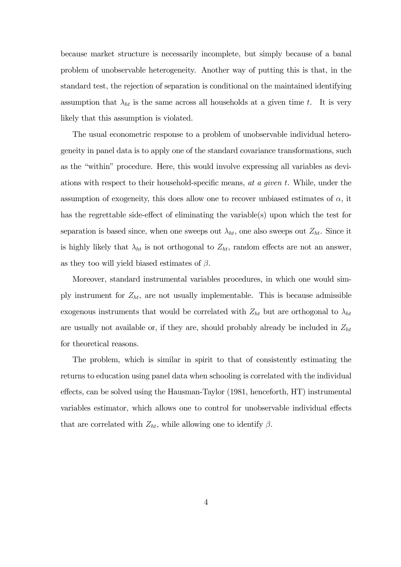because market structure is necessarily incomplete, but simply because of a banal problem of unobservable heterogeneity. Another way of putting this is that, in the standard test, the rejection of separation is conditional on the maintained identifying assumption that  $\lambda_{ht}$  is the same across all households at a given time t. It is very likely that this assumption is violated.

The usual econometric response to a problem of unobservable individual heterogeneity in panel data is to apply one of the standard covariance transformations, such as the "within" procedure. Here, this would involve expressing all variables as deviations with respect to their household-specific means, at a given t. While, under the assumption of exogeneity, this does allow one to recover unbiased estimates of  $\alpha$ , it has the regrettable side-effect of eliminating the variable(s) upon which the test for separation is based since, when one sweeps out  $\lambda_{ht}$ , one also sweeps out  $Z_{ht}$ . Since it is highly likely that  $\lambda_{ht}$  is not orthogonal to  $Z_{ht}$ , random effects are not an answer, as they too will yield biased estimates of  $\beta$ .

Moreover, standard instrumental variables procedures, in which one would simply instrument for  $Z_{ht}$ , are not usually implementable. This is because admissible exogenous instruments that would be correlated with  $Z_{ht}$  but are orthogonal to  $\lambda_{ht}$ are usually not available or, if they are, should probably already be included in  $Z_{ht}$ for theoretical reasons.

The problem, which is similar in spirit to that of consistently estimating the returns to education using panel data when schooling is correlated with the individual effects, can be solved using the Hausman-Taylor (1981, henceforth, HT) instrumental variables estimator, which allows one to control for unobservable individual effects that are correlated with  $Z_{ht}$ , while allowing one to identify  $\beta$ .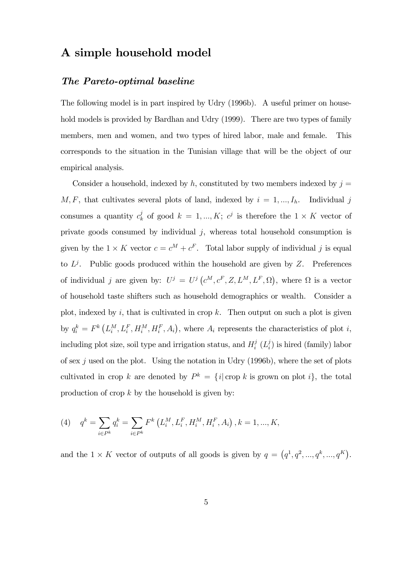### A simple household model

### The Pareto-optimal baseline

The following model is in part inspired by Udry (1996b). A useful primer on household models is provided by Bardhan and Udry (1999). There are two types of family members, men and women, and two types of hired labor, male and female. This corresponds to the situation in the Tunisian village that will be the object of our empirical analysis.

Consider a household, indexed by h, constituted by two members indexed by  $j =$  $M, F$ , that cultivates several plots of land, indexed by  $i = 1, ..., I_h$ . Individual j consumes a quantity  $c_k^j$  $\lambda_k^j$  of good  $k = 1, ..., K; c^j$  is therefore the  $1 \times K$  vector of private goods consumed by individual  $j$ , whereas total household consumption is given by the  $1 \times K$  vector  $c = c^M + c^F$ . Total labor supply of individual j is equal to  $L^j$ . Public goods produced within the household are given by Z. Preferences of individual j are given by:  $U^j = U^j(c^M, c^F, Z, L^M, L^F, \Omega)$ , where  $\Omega$  is a vector of household taste shifters such as household demographics or wealth. Consider a plot, indexed by  $i$ , that is cultivated in crop  $k$ . Then output on such a plot is given by  $q_i^k = F^k\left(L_i^M, L_i^F, H_i^M, H_i^F, A_i\right)$ , where  $A_i$  represents the characteristics of plot i, including plot size, soil type and irrigation status, and  $H_i^j$  $i^j\;(L_i^j$  $i)$  is hired (family) labor of sex  $j$  used on the plot. Using the notation in Udry (1996b), where the set of plots cultivated in crop k are denoted by  $P^k = \{i | \text{ crop } k \text{ is grown on plot } i\},\$ the total production of crop  $k$  by the household is given by:

(4) 
$$
q^k = \sum_{i \in P^k} q_i^k = \sum_{i \in P^k} F^k (L_i^M, L_i^F, H_i^M, H_i^F, A_i), k = 1, ..., K,
$$

and the  $1 \times K$  vector of outputs of all goods is given by  $q = (q^1, q^2, ..., q^k, ..., q^K)$ .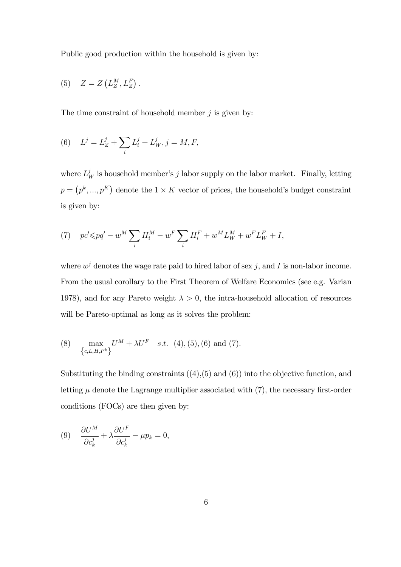Public good production within the household is given by:

$$
(5) \quad Z = Z\left(L_Z^M, L_Z^F\right).
$$

The time constraint of household member  $j$  is given by:

(6) 
$$
L^j = L_Z^j + \sum_i L_i^j + L_W^j, j = M, F,
$$

where  $L_W^j$  is household member's j labor supply on the labor market. Finally, letting  $p = (p^k, ..., p^K)$  denote the  $1 \times K$  vector of prices, the household's budget constraint is given by:

(7) 
$$
pc' \leqslant pq' - w^M \sum_i H_i^M - w^F \sum_i H_i^F + w^M L_W^M + w^F L_W^F + I
$$
,

where  $w^j$  denotes the wage rate paid to hired labor of sex j, and I is non-labor income. From the usual corollary to the First Theorem of Welfare Economics (see e.g. Varian 1978), and for any Pareto weight  $\lambda > 0$ , the intra-household allocation of resources will be Pareto-optimal as long as it solves the problem:

(8) 
$$
\max_{\{c,L,H,P^k\}} U^M + \lambda U^F \quad s.t. \quad (4), (5), (6) \text{ and } (7).
$$

Substituting the binding constraints  $((4),(5)$  and  $(6))$  into the objective function, and letting  $\mu$  denote the Lagrange multiplier associated with (7), the necessary first-order conditions (FOCs) are then given by:

$$
(9) \quad \frac{\partial U^M}{\partial c_k^j} + \lambda \frac{\partial U^F}{\partial c_k^j} - \mu p_k = 0,
$$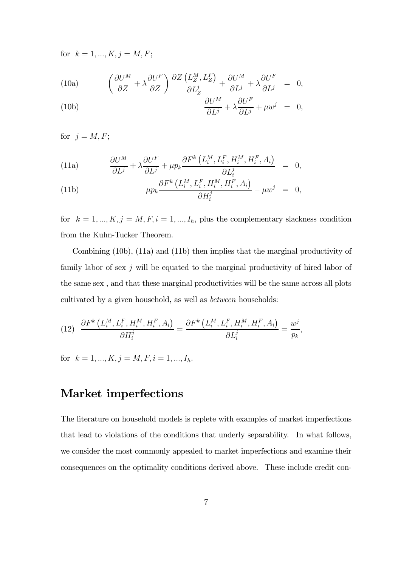for  $k = 1, ..., K, j = M, F;$ 

(10a) 
$$
\left(\frac{\partial U^M}{\partial Z} + \lambda \frac{\partial U^F}{\partial Z}\right) \frac{\partial Z}{\partial L_Z^j} \left(\frac{L_Z^M, L_Z^F}{\partial L_Z^j}\right) + \frac{\partial U^M}{\partial L^j} + \lambda \frac{\partial U^F}{\partial L^j} = 0,
$$

(10b) 
$$
\frac{\partial U^M}{\partial L^j} + \lambda \frac{\partial U^F}{\partial L^j} + \mu w^j = 0,
$$

for  $j = M, F;$ 

(11a) 
$$
\frac{\partial U^M}{\partial L^j} + \lambda \frac{\partial U^F}{\partial L^j} + \mu p_k \frac{\partial F^k\left(L_i^M, L_i^F, H_i^M, H_i^F, A_i\right)}{\partial L_i^j} = 0,
$$

(11b) 
$$
\mu p_k \frac{\partial F^k\left(L_i^M, L_i^F, H_i^M, H_i^F, A_i\right)}{\partial H_i^j} - \mu w^j = 0,
$$

for  $k = 1, ..., K, j = M, F, i = 1, ..., I_h$ , plus the complementary slackness condition from the Kuhn-Tucker Theorem.

Combining (10b), (11a) and (11b) then implies that the marginal productivity of family labor of sex  $j$  will be equated to the marginal productivity of hired labor of the same sex , and that these marginal productivities will be the same across all plots cultivated by a given household, as well as between households:

$$
(12) \quad \frac{\partial F^k\left(L_i^M, L_i^F, H_i^M, H_i^F, A_i\right)}{\partial H_i^j} = \frac{\partial F^k\left(L_i^M, L_i^F, H_i^M, H_i^F, A_i\right)}{\partial L_i^j} = \frac{w^j}{p_k},
$$

for  $k = 1, ..., K, j = M, F, i = 1, ..., I_h$ .

### Market imperfections

The literature on household models is replete with examples of market imperfections that lead to violations of the conditions that underly separability. In what follows, we consider the most commonly appealed to market imperfections and examine their consequences on the optimality conditions derived above. These include credit con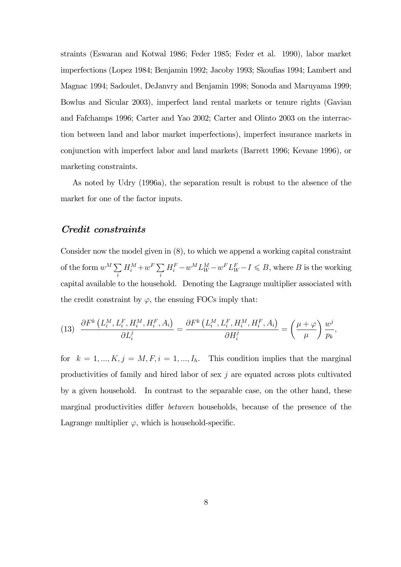straints (Eswaran and Kotwal 1986; Feder 1985; Feder et al. 1990), labor market imperfections (Lopez 1984; Benjamin 1992; Jacoby 1993; Skoufias 1994; Lambert and Magnac 1994; Sadoulet, DeJanvry and Benjamin 1998; Sonoda and Maruyama 1999; Bowlus and Sicular 2003), imperfect land rental markets or tenure rights (Gavian and Fafchamps 1996; Carter and Yao 2002; Carter and Olinto 2003 on the interraction between land and labor market imperfections), imperfect insurance markets in conjunction with imperfect labor and land markets (Barrett 1996; Kevane 1996), or marketing constraints.

As noted by Udry (1996a), the separation result is robust to the absence of the market for one of the factor inputs.

#### Credit constraints

Consider now the model given in (8), to which we append a working capital constraint of the form  $w^M \sum$ i  $H_i^M+w^F\sum$ i  $H_i^F - w^M L_W^M - w^F L_W^F - I \leq B$ , where B is the working capital available to the household. Denoting the Lagrange multiplier associated with the credit constraint by  $\varphi$ , the ensuing FOCs imply that:

$$
(13)\quad \frac{\partial F^k\left(L_i^M,L_i^F,H_i^M,H_i^F,A_i\right)}{\partial L_i^j}=\frac{\partial F^k\left(L_i^M,L_i^F,H_i^M,H_i^F,A_i\right)}{\partial H_i^j}=\left(\frac{\mu+\varphi}{\mu}\right)\frac{w^j}{p_k},
$$

for  $k = 1, ..., K, j = M, F, i = 1, ..., I_h$ . This condition implies that the marginal productivities of family and hired labor of sex  $j$  are equated across plots cultivated by a given household. In contrast to the separable case, on the other hand, these marginal productivities differ between households, because of the presence of the Lagrange multiplier  $\varphi$ , which is household-specific.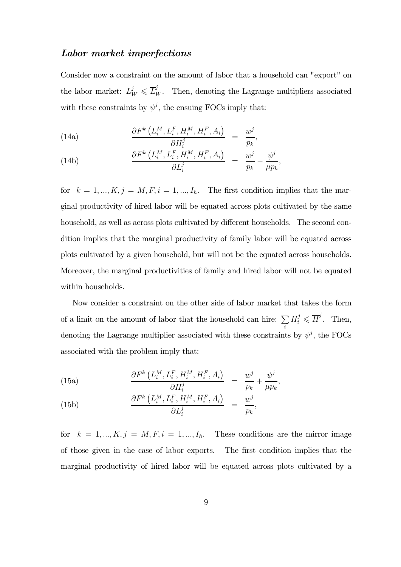### Labor market imperfections

Consider now a constraint on the amount of labor that a household can "export" on the labor market:  $L_W^j \leq \overline{L}_W^j$ . Then, denoting the Lagrange multipliers associated with these constraints by  $\psi^j$ , the ensuing FOCs imply that:

(14a) 
$$
\frac{\partial F^k\left(L_i^M, L_i^F, H_i^M, H_i^F, A_i\right)}{\partial H_i^j} = \frac{w^j}{p_k},
$$

(14b) 
$$
\frac{\partial F^k\left(L_i^M, L_i^F, H_i^M, H_i^F, A_i\right)}{\partial L_i^j} = \frac{w^j}{p_k} - \frac{\psi^j}{\mu p_k},
$$

for  $k = 1, ..., K, j = M, F, i = 1, ..., I_h$ . The first condition implies that the marginal productivity of hired labor will be equated across plots cultivated by the same household, as well as across plots cultivated by different households. The second condition implies that the marginal productivity of family labor will be equated across plots cultivated by a given household, but will not be the equated across households. Moreover, the marginal productivities of family and hired labor will not be equated within households.

Now consider a constraint on the other side of labor market that takes the form of a limit on the amount of labor that the household can hire:  $\sum$ i  $H_i^j \leqslant \overline{H}^j$ . Then, denoting the Lagrange multiplier associated with these constraints by  $\psi^j$ , the FOCs associated with the problem imply that:

(15a) 
$$
\frac{\partial F^k\left(L_i^M, L_i^F, H_i^M, H_i^F, A_i\right)}{\partial H_i^j} = \frac{w^j}{p_k} + \frac{\psi^j}{\mu p_k},
$$

(15b) 
$$
\frac{\partial F^k\left(L_i^M, L_i^F, H_i^M, H_i^F, A_i\right)}{\partial L_i^j} = \frac{w^j}{p_k},
$$

for  $k = 1, ..., K, j = M, F, i = 1, ..., I_h$ . These conditions are the mirror image of those given in the case of labor exports. The first condition implies that the marginal productivity of hired labor will be equated across plots cultivated by a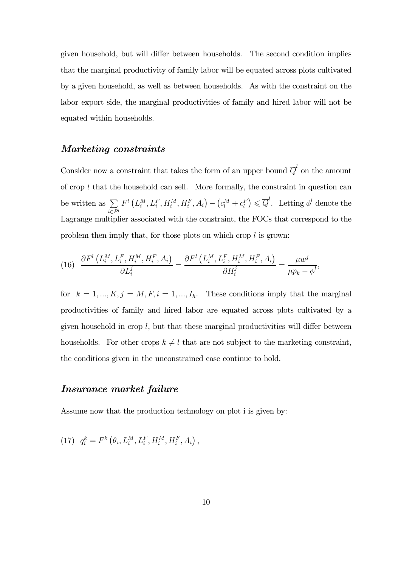given household, but will differ between households. The second condition implies that the marginal productivity of family labor will be equated across plots cultivated by a given household, as well as between households. As with the constraint on the labor export side, the marginal productivities of family and hired labor will not be equated within households.

### Marketing constraints

Consider now a constraint that takes the form of an upper bound  $\overline{Q}^l$  on the amount of crop  $l$  that the household can sell. More formally, the constraint in question can be written as  $\sum$  $i \in P^l$  $F^l(L_i^M, L_i^F, H_i^M, H_i^F, A_i) - (c_l^M + c_l^F) \leq \overline{Q}^l$ . Letting  $\phi^l$  denote the Lagrange multiplier associated with the constraint, the FOCs that correspond to the problem then imply that, for those plots on which crop  $l$  is grown:

(16) 
$$
\frac{\partial F^l\left(L_i^M, L_i^F, H_i^M, H_i^F, A_i\right)}{\partial L_i^j} = \frac{\partial F^l\left(L_i^M, L_i^F, H_i^M, H_i^F, A_i\right)}{\partial H_i^j} = \frac{\mu w^j}{\mu p_k - \phi^l},
$$

for  $k = 1, ..., K, j = M, F, i = 1, ..., I_h$ . These conditions imply that the marginal productivities of family and hired labor are equated across plots cultivated by a given household in crop  $l$ , but that these marginal productivities will differ between households. For other crops  $k \neq l$  that are not subject to the marketing constraint, the conditions given in the unconstrained case continue to hold.

#### Insurance market failure

Assume now that the production technology on plot i is given by:

(17) 
$$
q_i^k = F^k(\theta_i, L_i^M, L_i^F, H_i^M, H_i^F, A_i)
$$
,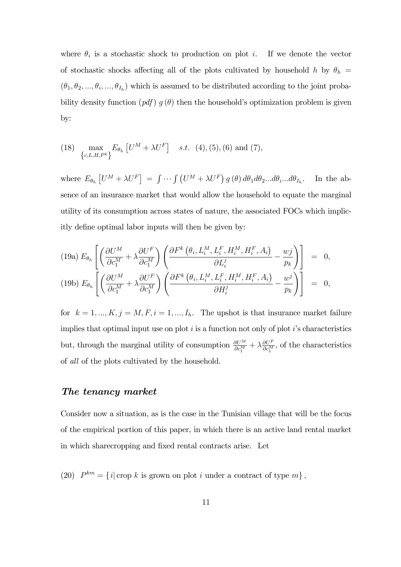where  $\theta_i$  is a stochastic shock to production on plot *i*. If we denote the vector of stochastic shocks affecting all of the plots cultivated by household h by  $\theta_h$  =  $(\theta_1, \theta_2, ..., \theta_i, ..., \theta_{I_h})$  which is assumed to be distributed according to the joint probability density function  $(pdf)$  g $(\theta)$  then the household's optimization problem is given by:

(18) 
$$
\max_{\{c,L,H,P^k\}} E_{\theta_h} [U^M + \lambda U^F] \quad s.t. \quad (4), (5), (6) \text{ and } (7),
$$

where  $E_{\theta_h} \left[ U^M + \lambda U^F \right] = \int \cdots \int \left( U^M + \lambda U^F \right) g(\theta) d\theta_1 d\theta_2 ... d\theta_i ... d\theta_{I_h}$ . In the absence of an insurance market that would allow the household to equate the marginal utility of its consumption across states of nature, the associated FOCs which implicitly define optimal labor inputs will then be given by:

$$
(19a) E_{\theta_h} \left[ \left( \frac{\partial U^M}{\partial c_1^M} + \lambda \frac{\partial U^F}{\partial c_1^M} \right) \left( \frac{\partial F^k \left( \theta_i, L_i^M, L_i^F, H_i^M, H_i^F, A_i \right)}{\partial L_i^j} - \frac{wj}{p_k} \right) \right] = 0,
$$
  

$$
(19b) E_{\theta_h} \left[ \left( \frac{\partial U^M}{\partial c_1^M} + \lambda \frac{\partial U^F}{\partial c_1^M} \right) \left( \frac{\partial F^k \left( \theta_i, L_i^M, L_i^F, H_i^M, H_i^F, A_i \right)}{\partial H_i^j} - \frac{w^j}{p_k} \right) \right] = 0,
$$

for  $k = 1, ..., K, j = M, F, i = 1, ..., I_h$ . The upshot is that insurance market failure implies that optimal input use on plot  $i$  is a function not only of plot  $i$ 's characteristics but, through the marginal utility of consumption  $\frac{\partial U^M}{\partial c_1^M} + \lambda \frac{\partial U^F}{\partial c_1^M}$  $\frac{\partial U^{\Gamma}}{\partial c_1^M}$ , of the characteristics of all of the plots cultivated by the household.

#### The tenancy market

Consider now a situation, as is the case in the Tunisian village that will be the focus of the empirical portion of this paper, in which there is an active land rental market in which sharecropping and fixed rental contracts arise. Let

(20)  $P^{km} = \{i | \text{ crop } k \text{ is grown on plot } i \text{ under a contract of type } m \},\$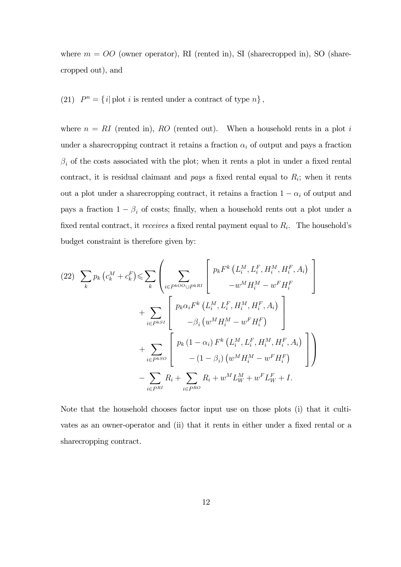where  $m = OO$  (owner operator), RI (rented in), SI (sharecropped in), SO (sharecropped out), and

(21)  $P^n = \{i | \text{plot } i \text{ is rented under a contract of type } n \},$ 

where  $n = RI$  (rented in), RO (rented out). When a household rents in a plot i under a sharecropping contract it retains a fraction  $\alpha_i$  of output and pays a fraction  $\beta_i$  of the costs associated with the plot; when it rents a plot in under a fixed rental contract, it is residual claimant and *pays* a fixed rental equal to  $R_i$ ; when it rents out a plot under a sharecropping contract, it retains a fraction  $1 - \alpha_i$  of output and pays a fraction  $1 - \beta_i$  of costs; finally, when a household rents out a plot under a fixed rental contract, it receives a fixed rental payment equal to  $R_i$ . The household's budget constraint is therefore given by:

$$
(22) \sum_{k} p_{k} (c_{k}^{M} + c_{k}^{F}) \leqslant \sum_{k} \left( \sum_{i \in P^{kOO} \cup P^{kRI}} \left[ p_{k} F^{k} (L_{i}^{M}, L_{i}^{F}, H_{i}^{M}, H_{i}^{F}, A_{i}) \right] + \sum_{i \in P^{kSI}} \left[ p_{k} \alpha_{i} F^{k} (L_{i}^{M}, L_{i}^{F}, H_{i}^{M}, H_{i}^{F}, A_{i}) \right] + \sum_{i \in P^{kSI}} \left[ p_{k} (1 - \alpha_{i}) F^{k} (L_{i}^{M}, L_{i}^{F}, H_{i}^{M}, H_{i}^{F}, A_{i}) \right] + \sum_{i \in P^{kSO}} \left[ p_{k} (1 - \alpha_{i}) F^{k} (L_{i}^{M}, L_{i}^{F}, H_{i}^{M}, H_{i}^{F}, A_{i}) \right] - (1 - \beta_{i}) (w^{M} H_{i}^{M} - w^{F} H_{i}^{F}) \right]
$$
\n
$$
- \sum_{i \in P^{kI}} R_{i} + \sum_{i \in P^{RO}} R_{i} + w^{M} L_{W}^{M} + w^{F} L_{W}^{F} + I.
$$

Note that the household chooses factor input use on those plots (i) that it cultivates as an owner-operator and (ii) that it rents in either under a fixed rental or a sharecropping contract.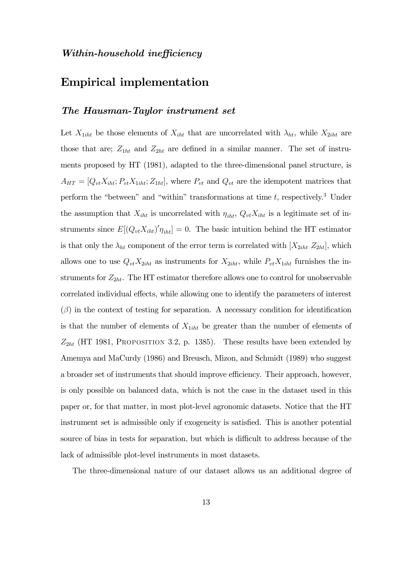### Empirical implementation

### The Hausman-Taylor instrument set

Let  $X_{1iht}$  be those elements of  $X_{iht}$  that are uncorrelated with  $\lambda_{ht}$ , while  $X_{2iht}$  are those that are;  $Z_{1ht}$  and  $Z_{2ht}$  are defined in a similar manner. The set of instruments proposed by HT (1981), adapted to the three-dimensional panel structure, is  $A_{HT} = [Q_{vt}X_{iht}; P_{vt}X_{1iht}; Z_{1ht}]$ , where  $P_{vt}$  and  $Q_{vt}$  are the idempotent matrices that perform the "between" and "within" transformations at time  $t$ , respectively.<sup>3</sup> Under the assumption that  $X_{iht}$  is uncorrelated with  $\eta_{iht}$ ,  $Q_{vt}X_{iht}$  is a legitimate set of instruments since  $E[(Q_{vt}X_{iht})'\eta_{iht}] = 0$ . The basic intuition behind the HT estimator is that only the  $\lambda_{ht}$  component of the error term is correlated with  $[X_{2iht} Z_{2ht}]$ , which allows one to use  $Q_{vt}X_{2iht}$  as instruments for  $X_{2iht}$ , while  $P_{vt}X_{1iht}$  furnishes the instruments for  $Z_{2ht}$ . The HT estimator therefore allows one to control for unobservable correlated individual effects, while allowing one to identify the parameters of interest  $(\beta)$  in the context of testing for separation. A necessary condition for identification is that the number of elements of  $X_{1iht}$  be greater than the number of elements of  $Z_{2ht}$  (HT 1981, PROPOSITION 3.2, p. 1385). These results have been extended by Amemya and MaCurdy (1986) and Breusch, Mizon, and Schmidt (1989) who suggest a broader set of instruments that should improve efficiency. Their approach, however, is only possible on balanced data, which is not the case in the dataset used in this paper or, for that matter, in most plot-level agronomic datasets. Notice that the HT instrument set is admissible only if exogeneity is satisfied. This is another potential source of bias in tests for separation, but which is difficult to address because of the lack of admissible plot-level instruments in most datasets.

The three-dimensional nature of our dataset allows us an additional degree of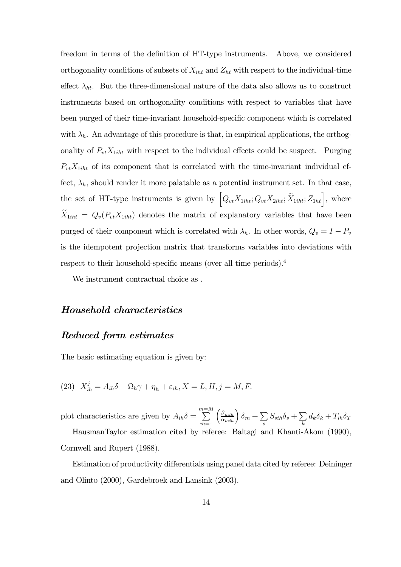freedom in terms of the definition of HT-type instruments. Above, we considered orthogonality conditions of subsets of  $X_{iht}$  and  $Z_{ht}$  with respect to the individual-time effect  $\lambda_{ht}$ . But the three-dimensional nature of the data also allows us to construct instruments based on orthogonality conditions with respect to variables that have been purged of their time-invariant household-specific component which is correlated with  $\lambda_h$ . An advantage of this procedure is that, in empirical applications, the orthogonality of  $P_{vt}X_{1iht}$  with respect to the individual effects could be suspect. Purging  $P_{vt}X_{1iht}$  of its component that is correlated with the time-invariant individual effect,  $\lambda_h$ , should render it more palatable as a potential instrument set. In that case, the set of HT-type instruments is given by  $\left[Q_{vt}X_{1iht}; Q_{vt}X_{2iht}; \widetilde{X}_{1iht}; Z_{1ht}\right]$ , where  $\widetilde{X}_{1iht} = Q_v(P_{vt}X_{1iht})$  denotes the matrix of explanatory variables that have been purged of their component which is correlated with  $\lambda_h$ . In other words,  $Q_v = I - P_v$ is the idempotent projection matrix that transforms variables into deviations with respect to their household-specific means (over all time periods).<sup>4</sup>

We instrument contractual choice as .

### Household characteristics

### Reduced form estimates

The basic estimating equation is given by:

(23) 
$$
X_{ih}^j = A_{ih}\delta + \Omega_h \gamma + \eta_h + \varepsilon_{ih}, X = L, H, j = M, F.
$$

plot characteristics are given by  $A_{ih}\delta = \sum_{i=1}^{m=M}$  $m=1$  $\left(\frac{\beta_{min}}{\alpha_{min}}\right)\delta_m + \sum$ s  $S_{sih} \delta_s + \sum$ k  $d_k\delta_k + T_{ih}\delta_T$ 

HausmanTaylor estimation cited by referee: Baltagi and Khanti-Akom (1990), Cornwell and Rupert (1988).

Estimation of productivity differentials using panel data cited by referee: Deininger and Olinto (2000), Gardebroek and Lansink (2003).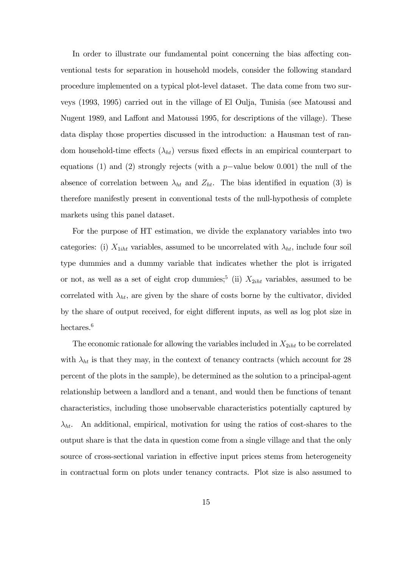In order to illustrate our fundamental point concerning the bias affecting conventional tests for separation in household models, consider the following standard procedure implemented on a typical plot-level dataset. The data come from two surveys (1993, 1995) carried out in the village of El Oulja, Tunisia (see Matoussi and Nugent 1989, and Laffont and Matoussi 1995, for descriptions of the village). These data display those properties discussed in the introduction: a Hausman test of random household-time effects  $(\lambda_{ht})$  versus fixed effects in an empirical counterpart to equations (1) and (2) strongly rejects (with a p−value below 0.001) the null of the absence of correlation between  $\lambda_{ht}$  and  $Z_{ht}$ . The bias identified in equation (3) is therefore manifestly present in conventional tests of the null-hypothesis of complete markets using this panel dataset.

For the purpose of HT estimation, we divide the explanatory variables into two categories: (i)  $X_{1iht}$  variables, assumed to be uncorrelated with  $\lambda_{ht}$ , include four soil type dummies and a dummy variable that indicates whether the plot is irrigated or not, as well as a set of eight crop dummies;<sup>5</sup> (ii)  $X_{2iht}$  variables, assumed to be correlated with  $\lambda_{ht}$ , are given by the share of costs borne by the cultivator, divided by the share of output received, for eight different inputs, as well as log plot size in hectares.<sup>6</sup>

The economic rationale for allowing the variables included in  $X_{2iht}$  to be correlated with  $\lambda_{ht}$  is that they may, in the context of tenancy contracts (which account for 28 percent of the plots in the sample), be determined as the solution to a principal-agent relationship between a landlord and a tenant, and would then be functions of tenant characteristics, including those unobservable characteristics potentially captured by  $\lambda_{ht}$ . An additional, empirical, motivation for using the ratios of cost-shares to the output share is that the data in question come from a single village and that the only source of cross-sectional variation in effective input prices stems from heterogeneity in contractual form on plots under tenancy contracts. Plot size is also assumed to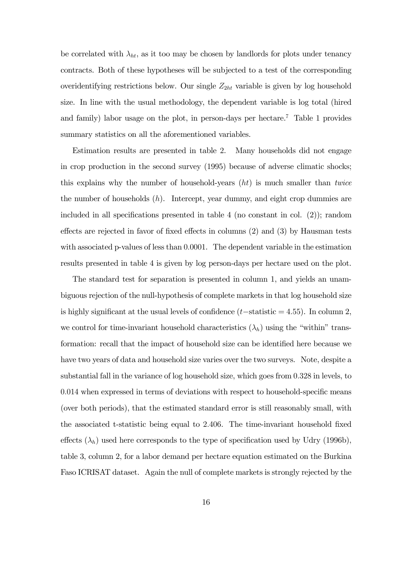be correlated with  $\lambda_{ht}$ , as it too may be chosen by landlords for plots under tenancy contracts. Both of these hypotheses will be subjected to a test of the corresponding overidentifying restrictions below. Our single  $Z_{2ht}$  variable is given by log household size. In line with the usual methodology, the dependent variable is log total (hired and family) labor usage on the plot, in person-days per hectare.<sup>7</sup> Table 1 provides summary statistics on all the aforementioned variables.

Estimation results are presented in table 2. Many households did not engage in crop production in the second survey (1995) because of adverse climatic shocks; this explains why the number of household-years  $(ht)$  is much smaller than twice the number of households  $(h)$ . Intercept, year dummy, and eight crop dummies are included in all specifications presented in table 4 (no constant in col. (2)); random effects are rejected in favor of fixed effects in columns (2) and (3) by Hausman tests with associated p-values of less than 0.0001. The dependent variable in the estimation results presented in table 4 is given by log person-days per hectare used on the plot.

The standard test for separation is presented in column 1, and yields an unambiguous rejection of the null-hypothesis of complete markets in that log household size is highly significant at the usual levels of confidence ( $t$  –statistic = 4.55). In column 2, we control for time-invariant household characteristics  $(\lambda_h)$  using the "within" transformation: recall that the impact of household size can be identified here because we have two years of data and household size varies over the two surveys. Note, despite a substantial fall in the variance of log household size, which goes from 0.328 in levels, to 0.014 when expressed in terms of deviations with respect to household-specific means (over both periods), that the estimated standard error is still reasonably small, with the associated t-statistic being equal to 2.406. The time-invariant household fixed effects  $(\lambda_h)$  used here corresponds to the type of specification used by Udry (1996b), table 3, column 2, for a labor demand per hectare equation estimated on the Burkina Faso ICRISAT dataset. Again the null of complete markets is strongly rejected by the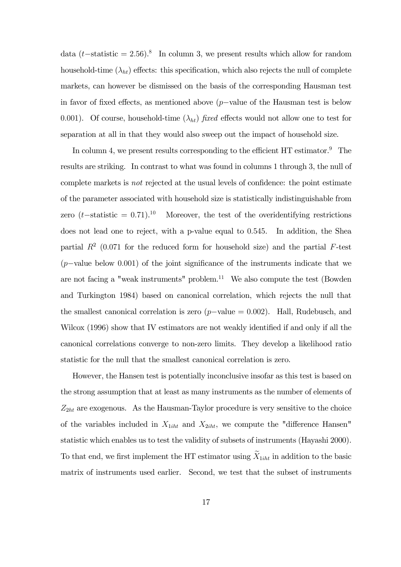data ( $t$ –statistic = 2.56).<sup>8</sup> In column 3, we present results which allow for random household-time  $(\lambda_{ht})$  effects: this specification, which also rejects the null of complete markets, can however be dismissed on the basis of the corresponding Hausman test in favor of fixed effects, as mentioned above (p−value of the Hausman test is below 0.001). Of course, household-time  $(\lambda_{ht})$  fixed effects would not allow one to test for separation at all in that they would also sweep out the impact of household size.

In column 4, we present results corresponding to the efficient HT estimator.<sup>9</sup> The results are striking. In contrast to what was found in columns 1 through 3, the null of complete markets is not rejected at the usual levels of confidence: the point estimate of the parameter associated with household size is statistically indistinguishable from zero (t–statistic = 0.71).<sup>10</sup> Moreover, the test of the overidentifying restrictions does not lead one to reject, with a p-value equal to 0.545. In addition, the Shea partial  $R^2$  (0.071 for the reduced form for household size) and the partial  $F$ -test  $(p-\text{value below } 0.001)$  of the joint significance of the instruments indicate that we are not facing a "weak instruments" problem.<sup>11</sup> We also compute the test (Bowden and Turkington 1984) based on canonical correlation, which rejects the null that the smallest canonical correlation is zero  $(p-\text{value} = 0.002)$ . Hall, Rudebusch, and Wilcox (1996) show that IV estimators are not weakly identified if and only if all the canonical correlations converge to non-zero limits. They develop a likelihood ratio statistic for the null that the smallest canonical correlation is zero.

However, the Hansen test is potentially inconclusive insofar as this test is based on the strong assumption that at least as many instruments as the number of elements of  $Z_{2ht}$  are exogenous. As the Hausman-Taylor procedure is very sensitive to the choice of the variables included in  $X_{1iht}$  and  $X_{2iht}$ , we compute the "difference Hansen" statistic which enables us to test the validity of subsets of instruments (Hayashi 2000). To that end, we first implement the HT estimator using  $\widetilde{X}_{1iht}$  in addition to the basic matrix of instruments used earlier. Second, we test that the subset of instruments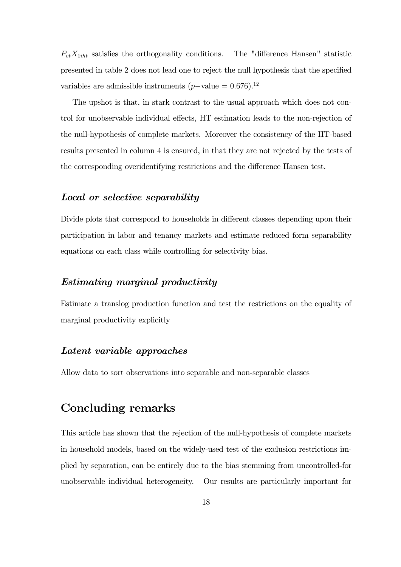$P_{vt}X_{1iht}$  satisfies the orthogonality conditions. The "difference Hansen" statistic presented in table 2 does not lead one to reject the null hypothesis that the specified variables are admissible instruments ( $p$ -value = 0.676).<sup>12</sup>

The upshot is that, in stark contrast to the usual approach which does not control for unobservable individual effects, HT estimation leads to the non-rejection of the null-hypothesis of complete markets. Moreover the consistency of the HT-based results presented in column 4 is ensured, in that they are not rejected by the tests of the corresponding overidentifying restrictions and the difference Hansen test.

#### Local or selective separability

Divide plots that correspond to households in different classes depending upon their participation in labor and tenancy markets and estimate reduced form separability equations on each class while controlling for selectivity bias.

### Estimating marginal productivity

Estimate a translog production function and test the restrictions on the equality of marginal productivity explicitly

### Latent variable approaches

Allow data to sort observations into separable and non-separable classes

### Concluding remarks

This article has shown that the rejection of the null-hypothesis of complete markets in household models, based on the widely-used test of the exclusion restrictions implied by separation, can be entirely due to the bias stemming from uncontrolled-for unobservable individual heterogeneity. Our results are particularly important for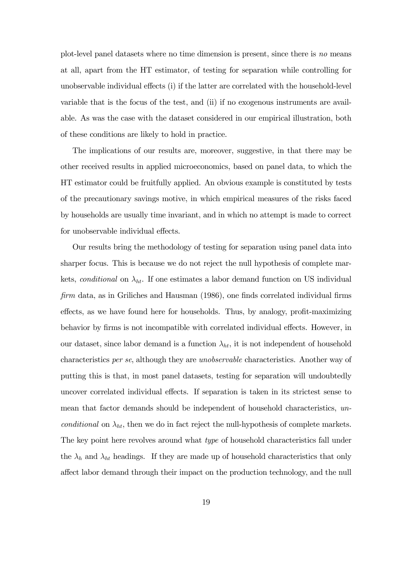plot-level panel datasets where no time dimension is present, since there is no means at all, apart from the HT estimator, of testing for separation while controlling for unobservable individual effects (i) if the latter are correlated with the household-level variable that is the focus of the test, and (ii) if no exogenous instruments are available. As was the case with the dataset considered in our empirical illustration, both of these conditions are likely to hold in practice.

The implications of our results are, moreover, suggestive, in that there may be other received results in applied microeconomics, based on panel data, to which the HT estimator could be fruitfully applied. An obvious example is constituted by tests of the precautionary savings motive, in which empirical measures of the risks faced by households are usually time invariant, and in which no attempt is made to correct for unobservable individual effects.

Our results bring the methodology of testing for separation using panel data into sharper focus. This is because we do not reject the null hypothesis of complete markets, conditional on  $\lambda_{ht}$ . If one estimates a labor demand function on US individual firm data, as in Griliches and Hausman (1986), one finds correlated individual firms effects, as we have found here for households. Thus, by analogy, profit-maximizing behavior by firms is not incompatible with correlated individual effects. However, in our dataset, since labor demand is a function  $\lambda_{ht}$ , it is not independent of household characteristics per se, although they are unobservable characteristics. Another way of putting this is that, in most panel datasets, testing for separation will undoubtedly uncover correlated individual effects. If separation is taken in its strictest sense to mean that factor demands should be independent of household characteristics, unconditional on  $\lambda_{ht}$ , then we do in fact reject the null-hypothesis of complete markets. The key point here revolves around what *type* of household characteristics fall under the  $\lambda_h$  and  $\lambda_{ht}$  headings. If they are made up of household characteristics that only affect labor demand through their impact on the production technology, and the null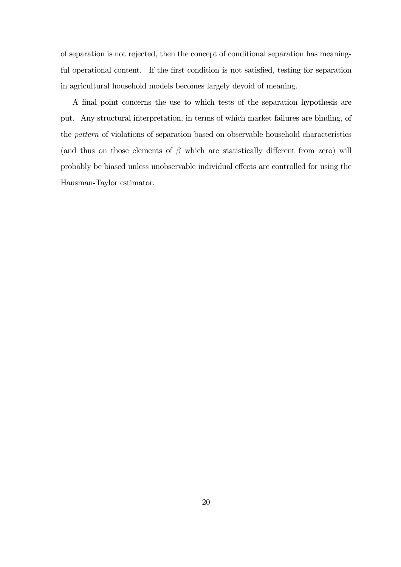of separation is not rejected, then the concept of conditional separation has meaningful operational content. If the first condition is not satisfied, testing for separation in agricultural household models becomes largely devoid of meaning.

A final point concerns the use to which tests of the separation hypothesis are put. Any structural interpretation, in terms of which market failures are binding, of the pattern of violations of separation based on observable household characteristics (and thus on those elements of  $\beta$  which are statistically different from zero) will probably be biased unless unobservable individual effects are controlled for using the Hausman-Taylor estimator.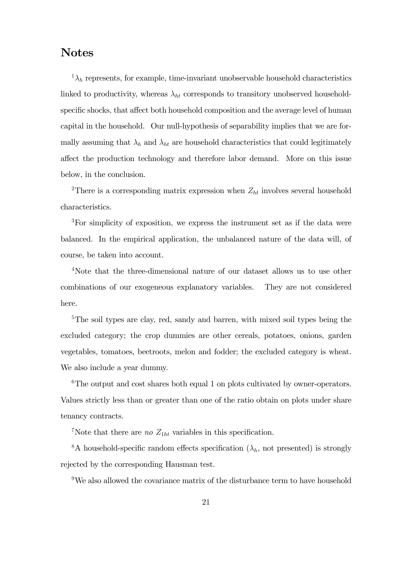### Notes

 $1_{\lambda_h}$  represents, for example, time-invariant unobservable household characteristics linked to productivity, whereas  $\lambda_{ht}$  corresponds to transitory unobserved householdspecific shocks, that affect both household composition and the average level of human capital in the household. Our null-hypothesis of separability implies that we are formally assuming that  $\lambda_h$  and  $\lambda_{ht}$  are household characteristics that could legitimately affect the production technology and therefore labor demand. More on this issue below, in the conclusion.

<sup>2</sup>There is a corresponding matrix expression when  $Z_{ht}$  involves several household characteristics.

<sup>3</sup>For simplicity of exposition, we express the instrument set as if the data were balanced. In the empirical application, the unbalanced nature of the data will, of course, be taken into account.

<sup>4</sup>Note that the three-dimensional nature of our dataset allows us to use other combinations of our exogeneous explanatory variables. They are not considered here.

<sup>5</sup>The soil types are clay, red, sandy and barren, with mixed soil types being the excluded category; the crop dummies are other cereals, potatoes, onions, garden vegetables, tomatoes, beetroots, melon and fodder; the excluded category is wheat. We also include a year dummy.

<sup>6</sup>The output and cost shares both equal 1 on plots cultivated by owner-operators. Values strictly less than or greater than one of the ratio obtain on plots under share tenancy contracts.

<sup>7</sup>Note that there are *no*  $Z_{1ht}$  variables in this specification.

<sup>8</sup>A household-specific random effects specification  $(\lambda_h, \text{ not presented})$  is strongly rejected by the corresponding Hausman test.

<sup>9</sup>We also allowed the covariance matrix of the disturbance term to have household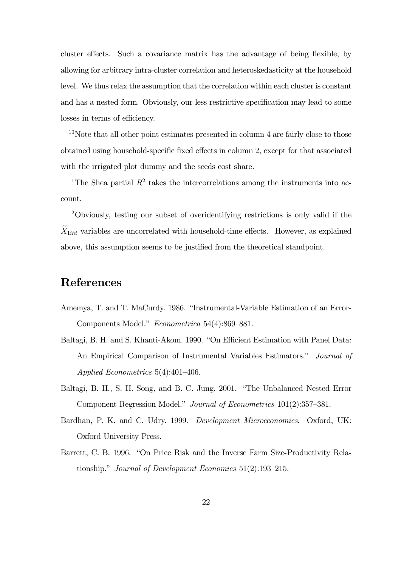cluster effects. Such a covariance matrix has the advantage of being flexible, by allowing for arbitrary intra-cluster correlation and heteroskedasticity at the household level. We thus relax the assumption that the correlation within each cluster is constant and has a nested form. Obviously, our less restrictive specification may lead to some losses in terms of efficiency.

 $10$ Note that all other point estimates presented in column 4 are fairly close to those obtained using household-specific fixed effects in column 2, except for that associated with the irrigated plot dummy and the seeds cost share.

<sup>11</sup>The Shea partial  $R^2$  takes the intercorrelations among the instruments into account.

<sup>12</sup>Obviously, testing our subset of overidentifying restrictions is only valid if the  $X_{1iht}$  variables are uncorrelated with household-time effects. However, as explained above, this assumption seems to be justified from the theoretical standpoint.

## References

- Amemya, T. and T. MaCurdy. 1986. "Instrumental-Variable Estimation of an Error-Components Model." Econometrica 54(4):869—881.
- Baltagi, B. H. and S. Khanti-Akom. 1990. "On Efficient Estimation with Panel Data: An Empirical Comparison of Instrumental Variables Estimators." Journal of Applied Econometrics 5(4):401—406.
- Baltagi, B. H., S. H. Song, and B. C. Jung. 2001. "The Unbalanced Nested Error Component Regression Model." Journal of Econometrics 101(2):357—381.
- Bardhan, P. K. and C. Udry. 1999. Development Microeconomics. Oxford, UK: Oxford University Press.
- Barrett, C. B. 1996. "On Price Risk and the Inverse Farm Size-Productivity Relationship." Journal of Development Economics 51(2):193—215.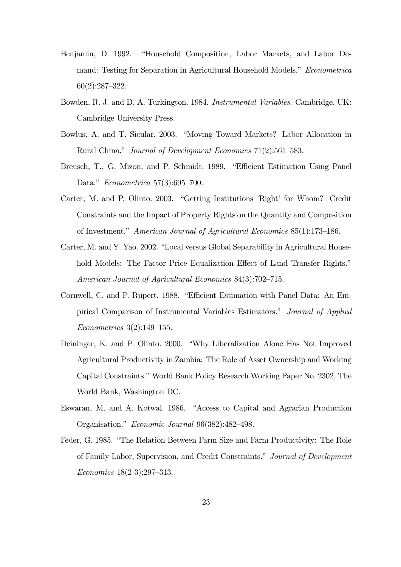- Benjamin, D. 1992. "Household Composition, Labor Markets, and Labor Demand: Testing for Separation in Agricultural Household Models." Econometrica 60(2):287—322.
- Bowden, R. J. and D. A. Turkington. 1984. Instrumental Variables. Cambridge, UK: Cambridge University Press.
- Bowlus, A. and T. Sicular. 2003. "Moving Toward Markets? Labor Allocation in Rural China." Journal of Development Economics 71(2):561—583.
- Breusch, T., G. Mizon, and P. Schmidt. 1989. "Efficient Estimation Using Panel Data." Econometrica 57(3):695—700.
- Carter, M. and P. Olinto. 2003. "Getting Institutions 'Right' for Whom? Credit Constraints and the Impact of Property Rights on the Quantity and Composition of Investment." American Journal of Agricultural Economics 85(1):173—186.
- Carter, M. and Y. Yao. 2002. "Local versus Global Separability in Agricultural Household Models: The Factor Price Equalization Effect of Land Transfer Rights." American Journal of Agricultural Economics 84(3):702—715.
- Cornwell, C. and P. Rupert. 1988. "Efficient Estimation with Panel Data: An Empirical Comparison of Instrumental Variables Estimators." Journal of Applied Econometrics 3(2):149—155.
- Deininger, K. and P. Olinto. 2000. "Why Liberalization Alone Has Not Improved Agricultural Productivity in Zambia: The Role of Asset Ownership and Working Capital Constraints." World Bank Policy Research Working Paper No. 2302, The World Bank, Washington DC.
- Eswaran, M. and A. Kotwal. 1986. "Access to Capital and Agrarian Production Organisation." Economic Journal 96(382):482—498.
- Feder, G. 1985. "The Relation Between Farm Size and Farm Productivity: The Role of Family Labor, Supervision, and Credit Constraints." Journal of Development Economics 18(2-3):297—313.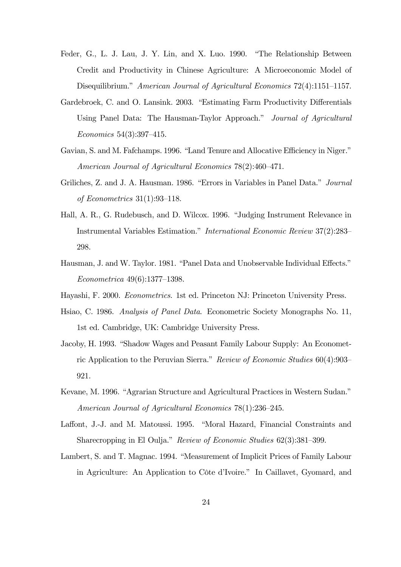- Feder, G., L. J. Lau, J. Y. Lin, and X. Luo. 1990. "The Relationship Between Credit and Productivity in Chinese Agriculture: A Microeconomic Model of Disequilibrium." American Journal of Agricultural Economics 72(4):1151-1157.
- Gardebroek, C. and O. Lansink. 2003. "Estimating Farm Productivity Differentials Using Panel Data: The Hausman-Taylor Approach." Journal of Agricultural Economics 54(3):397—415.
- Gavian, S. and M. Fafchamps. 1996. "Land Tenure and Allocative Efficiency in Niger." American Journal of Agricultural Economics 78(2):460—471.
- Griliches, Z. and J. A. Hausman. 1986. "Errors in Variables in Panel Data." Journal of Econometrics 31(1):93—118.
- Hall, A. R., G. Rudebusch, and D. Wilcox. 1996. "Judging Instrument Relevance in Instrumental Variables Estimation." International Economic Review 37(2):283— 298.
- Hausman, J. and W. Taylor. 1981. "Panel Data and Unobservable Individual Effects." Econometrica 49(6):1377—1398.
- Hayashi, F. 2000. Econometrics. 1st ed. Princeton NJ: Princeton University Press.
- Hsiao, C. 1986. Analysis of Panel Data. Econometric Society Monographs No. 11, 1st ed. Cambridge, UK: Cambridge University Press.
- Jacoby, H. 1993. "Shadow Wages and Peasant Family Labour Supply: An Econometric Application to the Peruvian Sierra." Review of Economic Studies 60(4):903— 921.
- Kevane, M. 1996. "Agrarian Structure and Agricultural Practices in Western Sudan." American Journal of Agricultural Economics 78(1):236—245.
- Laffont, J.-J. and M. Matoussi. 1995. "Moral Hazard, Financial Constraints and Sharecropping in El Oulja." Review of Economic Studies 62(3):381—399.
- Lambert, S. and T. Magnac. 1994. "Measurement of Implicit Prices of Family Labour in Agriculture: An Application to Côte d'Ivoire." In Caillavet, Gyomard, and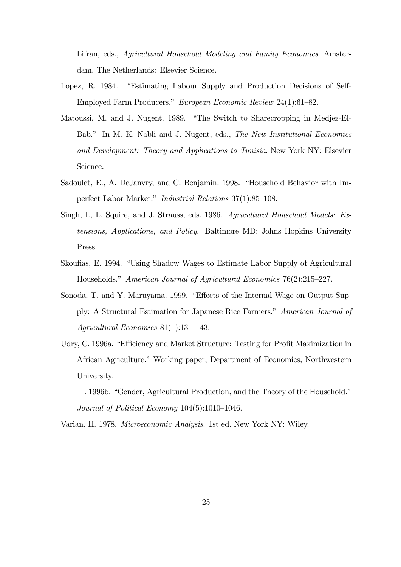Lifran, eds., Agricultural Household Modeling and Family Economics. Amsterdam, The Netherlands: Elsevier Science.

- Lopez, R. 1984. "Estimating Labour Supply and Production Decisions of Self-Employed Farm Producers." European Economic Review 24(1):61—82.
- Matoussi, M. and J. Nugent. 1989. "The Switch to Sharecropping in Medjez-El-Bab." In M. K. Nabli and J. Nugent, eds., The New Institutional Economics and Development: Theory and Applications to Tunisia. New York NY: Elsevier Science.
- Sadoulet, E., A. DeJanvry, and C. Benjamin. 1998. "Household Behavior with Imperfect Labor Market." Industrial Relations 37(1):85—108.
- Singh, I., L. Squire, and J. Strauss, eds. 1986. Agricultural Household Models: Extensions, Applications, and Policy. Baltimore MD: Johns Hopkins University Press.
- Skoufias, E. 1994. "Using Shadow Wages to Estimate Labor Supply of Agricultural Households." American Journal of Agricultural Economics 76(2):215—227.
- Sonoda, T. and Y. Maruyama. 1999. "Effects of the Internal Wage on Output Supply: A Structural Estimation for Japanese Rice Farmers." American Journal of Agricultural Economics 81(1):131—143.
- Udry, C. 1996a. "Efficiency and Market Structure: Testing for Profit Maximization in African Agriculture." Working paper, Department of Economics, Northwestern University.
- –––. 1996b. "Gender, Agricultural Production, and the Theory of the Household." Journal of Political Economy 104(5):1010—1046.

Varian, H. 1978. Microeconomic Analysis. 1st ed. New York NY: Wiley.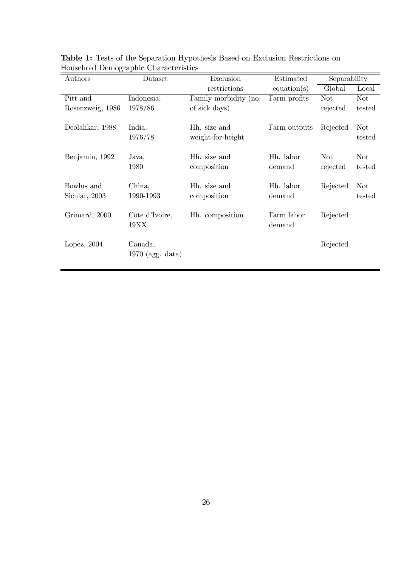| Authors          | Dataset            | Exclusion<br>Estimated |              | Separability |            |
|------------------|--------------------|------------------------|--------------|--------------|------------|
|                  |                    | restrictions           | equation(s)  | Global       | Local      |
| Pitt and         | Indonesia,         | Family morbidity (no.  | Farm profits | <b>Not</b>   | <b>Not</b> |
| Rosenzweig, 1986 | 1978/86            | of sick days)          |              | rejected     | tested     |
|                  |                    |                        |              |              |            |
| Deolalikar, 1988 | India,             | Hh. size and           | Farm outputs | Rejected     | Not.       |
|                  | 1976/78            | weight-for-height      |              |              | tested     |
|                  |                    |                        |              |              |            |
| Benjamin, 1992   | Java,              | Hh. size and           | Hh. labor    | <b>Not</b>   | <b>Not</b> |
|                  | 1980               | composition            | demand       | rejected     | tested     |
|                  |                    |                        |              |              |            |
| Bowlus and       | China,             | Hh. size and           | Hh. labor    | Rejected     | <b>Not</b> |
| Sicular, 2003    | 1990-1993          | composition            | demand       |              | tested     |
|                  |                    |                        |              |              |            |
| Grimard, 2000    | Côte d'Ivoire,     | Hh. composition        | Farm labor   | Rejected     |            |
|                  | 19XX               |                        | demand       |              |            |
| Lopez, $2004$    | Canada,            |                        |              | Rejected     |            |
|                  | $1970$ (agg. data) |                        |              |              |            |
|                  |                    |                        |              |              |            |
|                  |                    |                        |              |              |            |

Table 1: Tests of the Separation Hypothesis Based on Exclusion Restrictions on Household Demographic Characteristics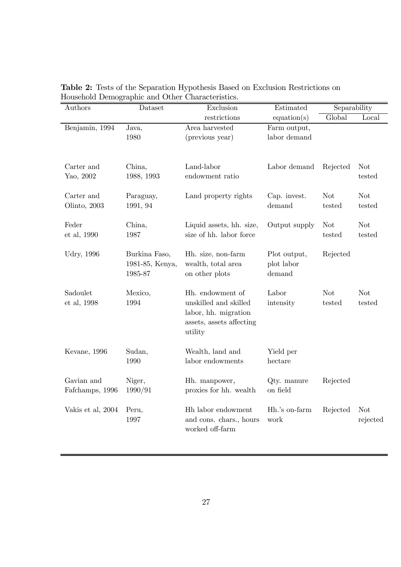| Authors           | Dataset         | Exclusion                                     | Estimated     | Separability |            |
|-------------------|-----------------|-----------------------------------------------|---------------|--------------|------------|
|                   |                 | restrictions                                  | equation(s)   | Global       | Local      |
| Benjamin, 1994    | Java,           | Area harvested                                | Farm output,  |              |            |
|                   | 1980            | (previous year)                               | labor demand  |              |            |
|                   |                 |                                               |               |              |            |
|                   |                 |                                               |               |              |            |
| Carter and        | China,          | Land-labor                                    | Labor demand  | Rejected     | <b>Not</b> |
| Yao, 2002         | 1988, 1993      | endowment ratio                               |               |              | tested     |
| Carter and        | Paraguay,       | Land property rights                          | Cap. invest.  | <b>Not</b>   | <b>Not</b> |
| Olinto, 2003      | 1991, 94        |                                               | demand        | tested       | tested     |
|                   |                 |                                               |               |              |            |
| Feder             | China,          | Liquid assets, hh. size,                      | Output supply | <b>Not</b>   | <b>Not</b> |
| et al, 1990       | 1987            | size of hh. labor force                       |               | tested       | tested     |
|                   |                 |                                               |               |              |            |
| Udry, 1996        | Burkina Faso,   | Hh. size, non-farm                            | Plot output,  | Rejected     |            |
|                   | 1981-85, Kenya, | wealth, total area                            | plot labor    |              |            |
|                   | 1985-87         | on other plots                                | demand        |              |            |
|                   |                 |                                               | Labor         | <b>Not</b>   | <b>Not</b> |
| Sadoulet          | Mexico,<br>1994 | Hh. endowment of                              |               |              |            |
| et al, 1998       |                 | unskilled and skilled<br>labor, hh. migration | intensity     | tested       | tested     |
|                   |                 | assets, assets affecting                      |               |              |            |
|                   |                 | utility                                       |               |              |            |
|                   |                 |                                               |               |              |            |
| Kevane, 1996      | Sudan,          | Wealth, land and                              | Yield per     |              |            |
|                   | 1990            | labor endowments                              | hectare       |              |            |
|                   |                 |                                               |               |              |            |
| Gavian and        | Niger,          | Hh. manpower,                                 | Qty. manure   | Rejected     |            |
| Fafchamps, 1996   | 1990/91         | proxies for hh. wealth                        | on field      |              |            |
| Vakis et al, 2004 | Peru,           | Hh labor endowment                            | Hh.'s on-farm | Rejected     | <b>Not</b> |
|                   | 1997            | and cons. chars., hours                       | work          |              | rejected   |
|                   |                 | worked off-farm                               |               |              |            |
|                   |                 |                                               |               |              |            |

Table 2: Tests of the Separation Hypothesis Based on Exclusion Restrictions on Household Demographic and Other Characteristics.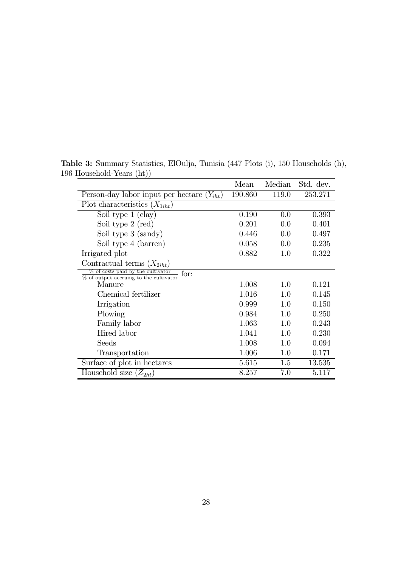|                                                                                       | Mean    | Median | Std. dev. |
|---------------------------------------------------------------------------------------|---------|--------|-----------|
| Person-day labor input per hectare $(Y_{iht})$                                        | 190.860 | 119.0  | 253.271   |
| Plot characteristics $(X_{1iht})$                                                     |         |        |           |
| Soil type 1 (clay)                                                                    | 0.190   | 0.0    | 0.393     |
| Soil type 2 (red)                                                                     | 0.201   | 0.0    | 0.401     |
| Soil type 3 (sandy)                                                                   | 0.446   | 0.0    | 0.497     |
| Soil type 4 (barren)                                                                  | 0.058   | 0.0    | 0.235     |
| Irrigated plot                                                                        | 0.882   | 1.0    | 0.322     |
| Contractual terms $(X_{2iht})$                                                        |         |        |           |
| % of costs paid by the cultivator<br>for:<br>$%$ of output accruing to the cultivator |         |        |           |
| Manure                                                                                | 1.008   | 1.0    | 0.121     |
| Chemical fertilizer                                                                   | 1.016   | 1.0    | 0.145     |
| Irrigation                                                                            | 0.999   | 1.0    | 0.150     |
| Plowing                                                                               | 0.984   | 1.0    | 0.250     |
| Family labor                                                                          | 1.063   | 1.0    | 0.243     |
| Hired labor                                                                           | 1.041   | 1.0    | 0.230     |
| Seeds                                                                                 | 1.008   | 1.0    | 0.094     |
| Transportation                                                                        | 1.006   | 1.0    | 0.171     |
| Surface of plot in hectares                                                           | 5.615   | 1.5    | 13.535    |
| Household size $(Z_{2ht})$                                                            | 8.257   | 7.0    | 5.117     |

Table 3: Summary Statistics, ElOulja, Tunisia (447 Plots (i), 150 Households (h), 196 Household-Years (ht))